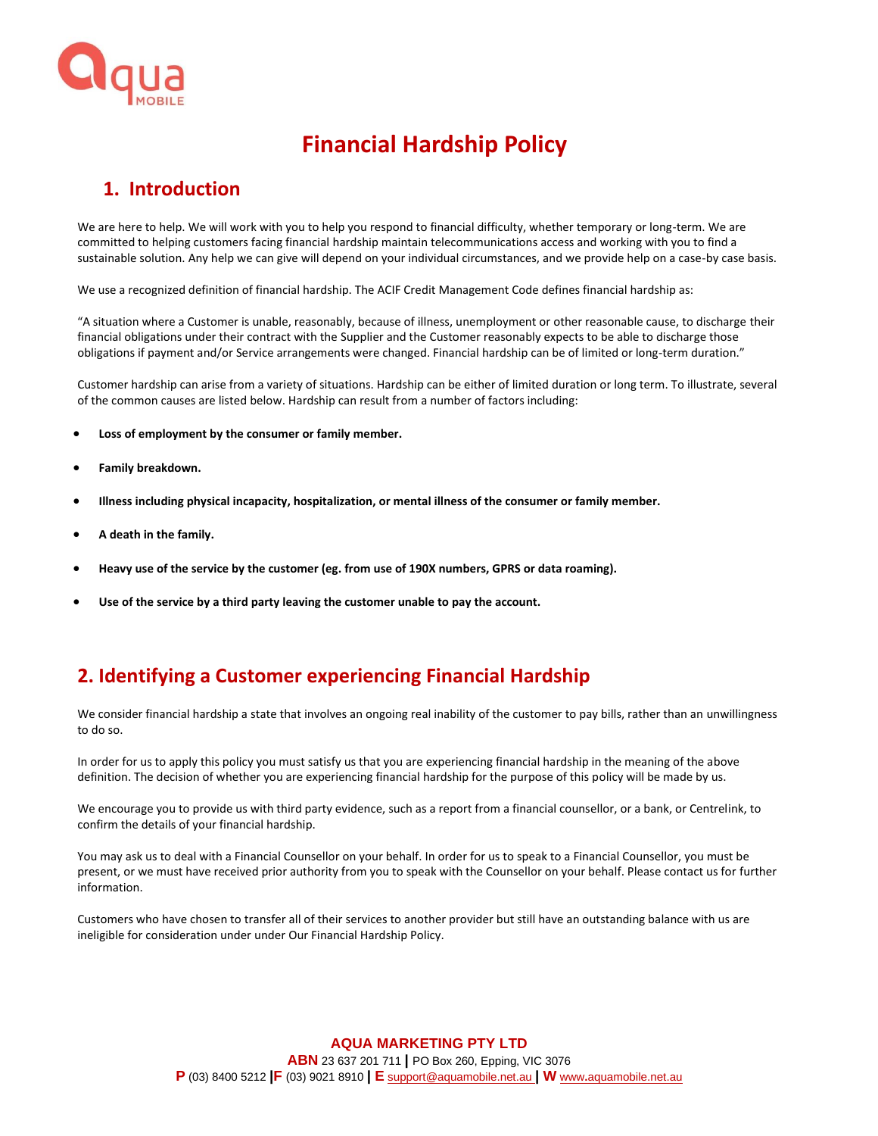

# **Financial Hardship Policy**

## **1. Introduction**

We are here to help. We will work with you to help you respond to financial difficulty, whether temporary or long-term. We are committed to helping customers facing financial hardship maintain telecommunications access and working with you to find a sustainable solution. Any help we can give will depend on your individual circumstances, and we provide help on a case-by case basis.

We use a recognized definition of financial hardship. The ACIF Credit Management Code defines financial hardship as:

"A situation where a Customer is unable, reasonably, because of illness, unemployment or other reasonable cause, to discharge their financial obligations under their contract with the Supplier and the Customer reasonably expects to be able to discharge those obligations if payment and/or Service arrangements were changed. Financial hardship can be of limited or long-term duration."

Customer hardship can arise from a variety of situations. Hardship can be either of limited duration or long term. To illustrate, several of the common causes are listed below. Hardship can result from a number of factors including:

- **Loss of employment by the consumer or family member.**
- **Family breakdown.**
- **Illness including physical incapacity, hospitalization, or mental illness of the consumer or family member.**
- **A death in the family.**
- **Heavy use of the service by the customer (eg. from use of 190X numbers, GPRS or data roaming).**
- **Use of the service by a third party leaving the customer unable to pay the account.**

# **2. Identifying a Customer experiencing Financial Hardship**

We consider financial hardship a state that involves an ongoing real inability of the customer to pay bills, rather than an unwillingness to do so.

In order for us to apply this policy you must satisfy us that you are experiencing financial hardship in the meaning of the above definition. The decision of whether you are experiencing financial hardship for the purpose of this policy will be made by us.

We encourage you to provide us with third party evidence, such as a report from a financial counsellor, or a bank, or Centrelink, to confirm the details of your financial hardship.

You may ask us to deal with a Financial Counsellor on your behalf. In order for us to speak to a Financial Counsellor, you must be present, or we must have received prior authority from you to speak with the Counsellor on your behalf. Please contact us for further information.

Customers who have chosen to transfer all of their services to another provider but still have an outstanding balance with us are ineligible for consideration under under Our Financial Hardship Policy.

> **AQUA MARKETING PTY LTD ABN** 23 637 201 711 **|** PO Box 260, Epping, VIC 3076 **P** (03) 8400 5212 **|F** (03) 9021 8910 **| E** [support@aquamobile.net.au](mailto:support@aquamobile.net.au) **| W** www**.**[aquamobile.net.au](http://www.aquamobile.net.au/)